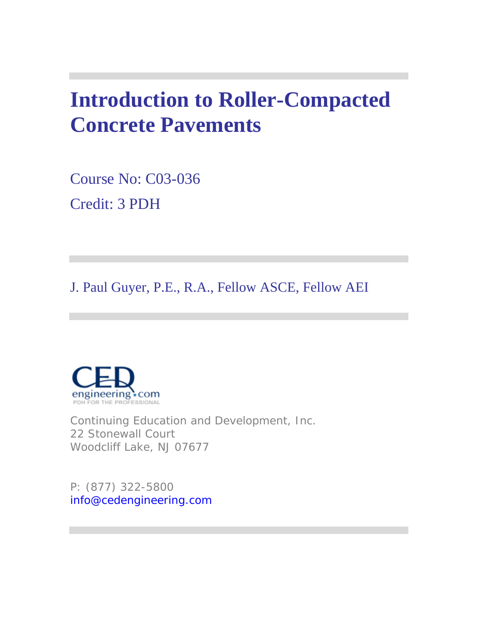# **Introduction to Roller-Compacted Concrete Pavements**

Course No: C03-036 Credit: 3 PDH

J. Paul Guyer, P.E., R.A., Fellow ASCE, Fellow AEI



Continuing Education and Development, Inc. 22 Stonewall Court Woodcliff Lake, NJ 07677

P: (877) 322-5800 info@cedengineering.com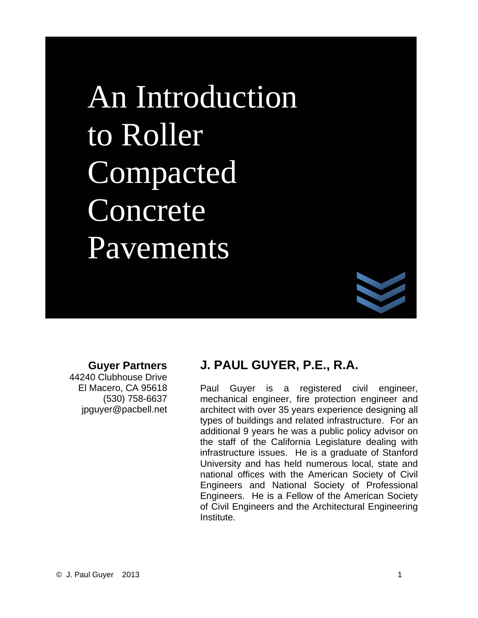An Introduction to Roller Compacted Concrete Pavements



#### **Guyer Partners**

44240 Clubhouse Drive El Macero, CA 95618 (530) 758-6637 jpguyer@pacbell.net

Ξ

# **J. PAUL GUYER, P.E., R.A.**

Paul Guyer is a registered civil engineer, mechanical engineer, fire protection engineer and architect with over 35 years experience designing all types of buildings and related infrastructure. For an additional 9 years he was a public policy advisor on the staff of the California Legislature dealing with infrastructure issues. He is a graduate of Stanford University and has held numerous local, state and national offices with the American Society of Civil Engineers and National Society of Professional Engineers. He is a Fellow of the American Society of Civil Engineers and the Architectural Engineering Institute.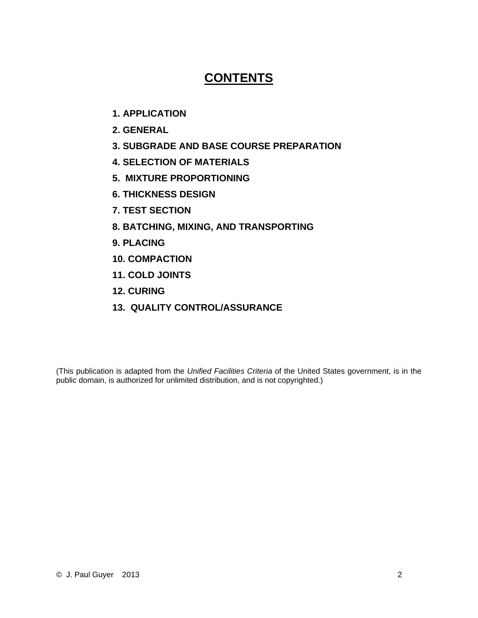# **CONTENTS**

- **1. APPLICATION**
- **2. GENERAL**
- **3. SUBGRADE AND BASE COURSE PREPARATION**
- **4. SELECTION OF MATERIALS**
- **5. MIXTURE PROPORTIONING**
- **6. THICKNESS DESIGN**
- **7. TEST SECTION**
- **8. BATCHING, MIXING, AND TRANSPORTING**
- **9. PLACING**
- **10. COMPACTION**
- **11. COLD JOINTS**
- **12. CURING**
- **13. QUALITY CONTROL/ASSURANCE**

(This publication is adapted from the *Unified Facilities Criteria* of the United States government, is in the public domain, is authorized for unlimited distribution, and is not copyrighted.)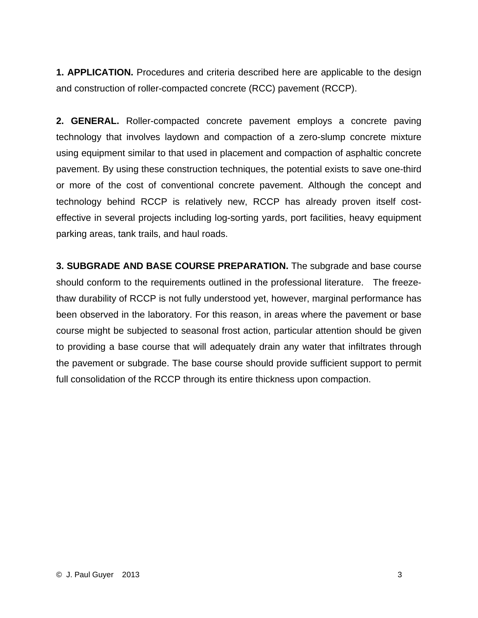**1. APPLICATION.** Procedures and criteria described here are applicable to the design and construction of roller-compacted concrete (RCC) pavement (RCCP).

**2. GENERAL.** Roller-compacted concrete pavement employs a concrete paving technology that involves laydown and compaction of a zero-slump concrete mixture using equipment similar to that used in placement and compaction of asphaltic concrete pavement. By using these construction techniques, the potential exists to save one-third or more of the cost of conventional concrete pavement. Although the concept and technology behind RCCP is relatively new, RCCP has already proven itself costeffective in several projects including log-sorting yards, port facilities, heavy equipment parking areas, tank trails, and haul roads.

**3. SUBGRADE AND BASE COURSE PREPARATION.** The subgrade and base course should conform to the requirements outlined in the professional literature. The freezethaw durability of RCCP is not fully understood yet, however, marginal performance has been observed in the laboratory. For this reason, in areas where the pavement or base course might be subjected to seasonal frost action, particular attention should be given to providing a base course that will adequately drain any water that infiltrates through the pavement or subgrade. The base course should provide sufficient support to permit full consolidation of the RCCP through its entire thickness upon compaction.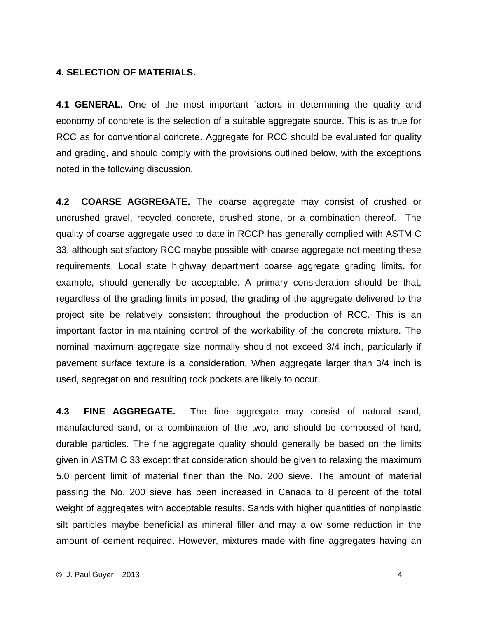## **4. SELECTION OF MATERIALS.**

**4.1 GENERAL.** One of the most important factors in determining the quality and economy of concrete is the selection of a suitable aggregate source. This is as true for RCC as for conventional concrete. Aggregate for RCC should be evaluated for quality and grading, and should comply with the provisions outlined below, with the exceptions noted in the following discussion.

**4.2 COARSE AGGREGATE.** The coarse aggregate may consist of crushed or uncrushed gravel, recycled concrete, crushed stone, or a combination thereof. The quality of coarse aggregate used to date in RCCP has generally complied with ASTM C 33, although satisfactory RCC maybe possible with coarse aggregate not meeting these requirements. Local state highway department coarse aggregate grading limits, for example, should generally be acceptable. A primary consideration should be that, regardless of the grading limits imposed, the grading of the aggregate delivered to the project site be relatively consistent throughout the production of RCC. This is an important factor in maintaining control of the workability of the concrete mixture. The nominal maximum aggregate size normally should not exceed 3/4 inch, particularly if pavement surface texture is a consideration. When aggregate larger than 3/4 inch is used, segregation and resulting rock pockets are likely to occur.

**4.3 FINE AGGREGATE.** The fine aggregate may consist of natural sand, manufactured sand, or a combination of the two, and should be composed of hard, durable particles. The fine aggregate quality should generally be based on the limits given in ASTM C 33 except that consideration should be given to relaxing the maximum 5.0 percent limit of material finer than the No. 200 sieve. The amount of material passing the No. 200 sieve has been increased in Canada to 8 percent of the total weight of aggregates with acceptable results. Sands with higher quantities of nonplastic silt particles maybe beneficial as mineral filler and may allow some reduction in the amount of cement required. However, mixtures made with fine aggregates having an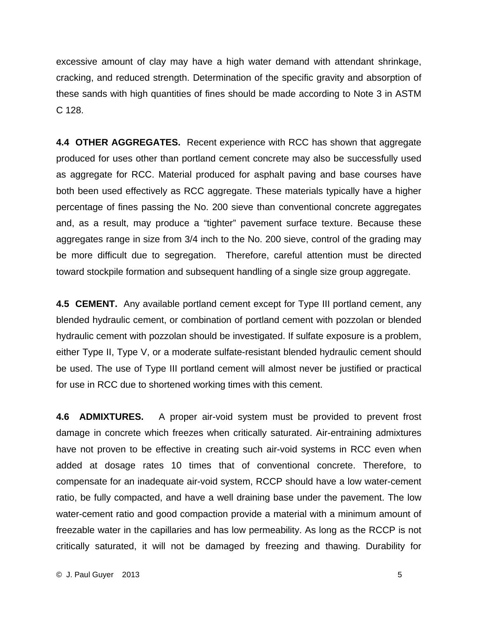excessive amount of clay may have a high water demand with attendant shrinkage, cracking, and reduced strength. Determination of the specific gravity and absorption of these sands with high quantities of fines should be made according to Note 3 in ASTM C 128.

**4.4 OTHER AGGREGATES.** Recent experience with RCC has shown that aggregate produced for uses other than portland cement concrete may also be successfully used as aggregate for RCC. Material produced for asphalt paving and base courses have both been used effectively as RCC aggregate. These materials typically have a higher percentage of fines passing the No. 200 sieve than conventional concrete aggregates and, as a result, may produce a "tighter" pavement surface texture. Because these aggregates range in size from 3/4 inch to the No. 200 sieve, control of the grading may be more difficult due to segregation. Therefore, careful attention must be directed toward stockpile formation and subsequent handling of a single size group aggregate.

**4.5 CEMENT.** Any available portland cement except for Type III portland cement, any blended hydraulic cement, or combination of portland cement with pozzolan or blended hydraulic cement with pozzolan should be investigated. If sulfate exposure is a problem, either Type II, Type V, or a moderate sulfate-resistant blended hydraulic cement should be used. The use of Type III portland cement will almost never be justified or practical for use in RCC due to shortened working times with this cement.

**4.6 ADMIXTURES.** A proper air-void system must be provided to prevent frost damage in concrete which freezes when critically saturated. Air-entraining admixtures have not proven to be effective in creating such air-void systems in RCC even when added at dosage rates 10 times that of conventional concrete. Therefore, to compensate for an inadequate air-void system, RCCP should have a low water-cement ratio, be fully compacted, and have a well draining base under the pavement. The low water-cement ratio and good compaction provide a material with a minimum amount of freezable water in the capillaries and has low permeability. As long as the RCCP is not critically saturated, it will not be damaged by freezing and thawing. Durability for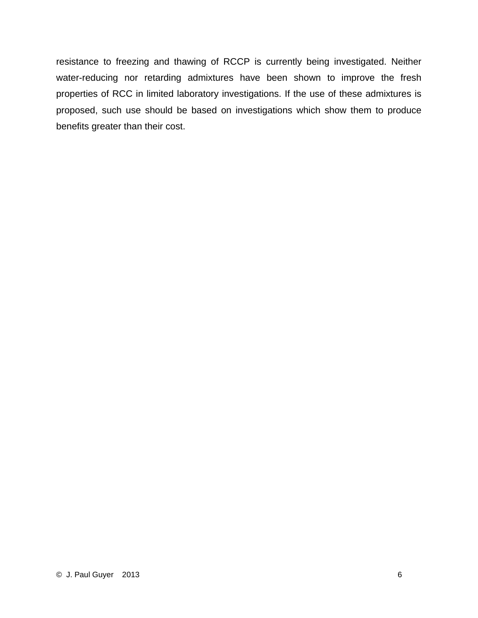resistance to freezing and thawing of RCCP is currently being investigated. Neither water-reducing nor retarding admixtures have been shown to improve the fresh properties of RCC in limited laboratory investigations. If the use of these admixtures is proposed, such use should be based on investigations which show them to produce benefits greater than their cost.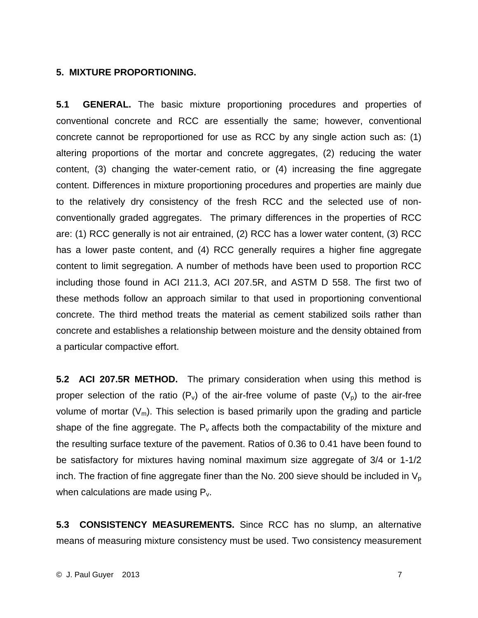### **5. MIXTURE PROPORTIONING.**

**5.1 GENERAL.** The basic mixture proportioning procedures and properties of conventional concrete and RCC are essentially the same; however, conventional concrete cannot be reproportioned for use as RCC by any single action such as: (1) altering proportions of the mortar and concrete aggregates, (2) reducing the water content, (3) changing the water-cement ratio, or (4) increasing the fine aggregate content. Differences in mixture proportioning procedures and properties are mainly due to the relatively dry consistency of the fresh RCC and the selected use of nonconventionally graded aggregates. The primary differences in the properties of RCC are: (1) RCC generally is not air entrained, (2) RCC has a lower water content, (3) RCC has a lower paste content, and (4) RCC generally requires a higher fine aggregate content to limit segregation. A number of methods have been used to proportion RCC including those found in ACI 211.3, ACI 207.5R, and ASTM D 558. The first two of these methods follow an approach similar to that used in proportioning conventional concrete. The third method treats the material as cement stabilized soils rather than concrete and establishes a relationship between moisture and the density obtained from a particular compactive effort.

**5.2 ACI 207.5R METHOD.** The primary consideration when using this method is proper selection of the ratio  $(P_v)$  of the air-free volume of paste  $(V_p)$  to the air-free volume of mortar  $(V_m)$ . This selection is based primarily upon the grading and particle shape of the fine aggregate. The  $P_v$  affects both the compactability of the mixture and the resulting surface texture of the pavement. Ratios of 0.36 to 0.41 have been found to be satisfactory for mixtures having nominal maximum size aggregate of 3/4 or 1-1/2 inch. The fraction of fine aggregate finer than the No. 200 sieve should be included in  $V_p$ when calculations are made using  $P_v$ .

**5.3 CONSISTENCY MEASUREMENTS.** Since RCC has no slump, an alternative means of measuring mixture consistency must be used. Two consistency measurement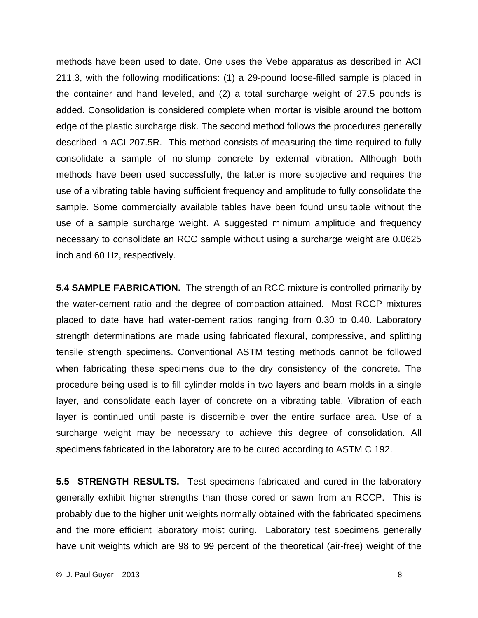methods have been used to date. One uses the Vebe apparatus as described in ACI 211.3, with the following modifications: (1) a 29-pound loose-filled sample is placed in the container and hand leveled, and (2) a total surcharge weight of 27.5 pounds is added. Consolidation is considered complete when mortar is visible around the bottom edge of the plastic surcharge disk. The second method follows the procedures generally described in ACI 207.5R. This method consists of measuring the time required to fully consolidate a sample of no-slump concrete by external vibration. Although both methods have been used successfully, the latter is more subjective and requires the use of a vibrating table having sufficient frequency and amplitude to fully consolidate the sample. Some commercially available tables have been found unsuitable without the use of a sample surcharge weight. A suggested minimum amplitude and frequency necessary to consolidate an RCC sample without using a surcharge weight are 0.0625 inch and 60 Hz, respectively.

**5.4 SAMPLE FABRICATION.** The strength of an RCC mixture is controlled primarily by the water-cement ratio and the degree of compaction attained. Most RCCP mixtures placed to date have had water-cement ratios ranging from 0.30 to 0.40. Laboratory strength determinations are made using fabricated flexural, compressive, and splitting tensile strength specimens. Conventional ASTM testing methods cannot be followed when fabricating these specimens due to the dry consistency of the concrete. The procedure being used is to fill cylinder molds in two layers and beam molds in a single layer, and consolidate each layer of concrete on a vibrating table. Vibration of each layer is continued until paste is discernible over the entire surface area. Use of a surcharge weight may be necessary to achieve this degree of consolidation. All specimens fabricated in the laboratory are to be cured according to ASTM C 192.

**5.5 STRENGTH RESULTS.** Test specimens fabricated and cured in the laboratory generally exhibit higher strengths than those cored or sawn from an RCCP. This is probably due to the higher unit weights normally obtained with the fabricated specimens and the more efficient laboratory moist curing. Laboratory test specimens generally have unit weights which are 98 to 99 percent of the theoretical (air-free) weight of the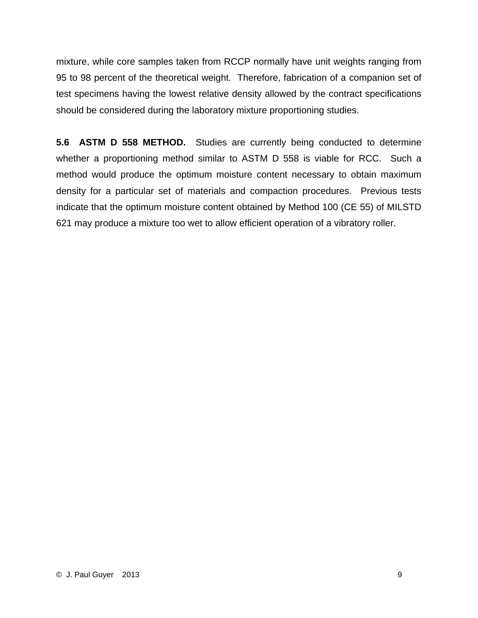mixture, while core samples taken from RCCP normally have unit weights ranging from 95 to 98 percent of the theoretical weight. Therefore, fabrication of a companion set of test specimens having the lowest relative density allowed by the contract specifications should be considered during the laboratory mixture proportioning studies.

**5.6 ASTM D 558 METHOD.** Studies are currently being conducted to determine whether a proportioning method similar to ASTM D 558 is viable for RCC. Such a method would produce the optimum moisture content necessary to obtain maximum density for a particular set of materials and compaction procedures. Previous tests indicate that the optimum moisture content obtained by Method 100 (CE 55) of MILSTD 621 may produce a mixture too wet to allow efficient operation of a vibratory roller.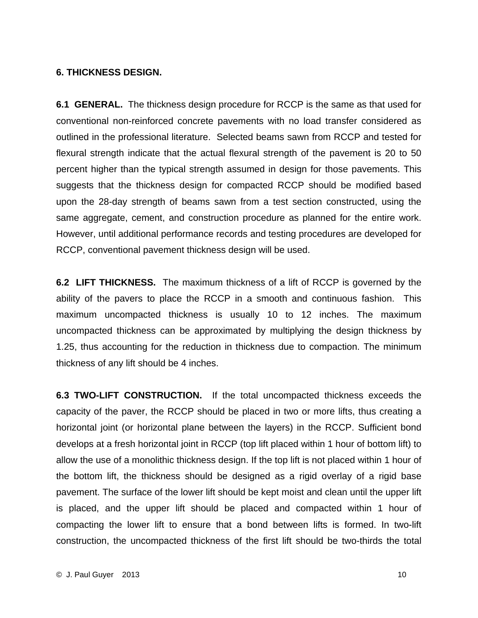### **6. THICKNESS DESIGN.**

**6.1 GENERAL.** The thickness design procedure for RCCP is the same as that used for conventional non-reinforced concrete pavements with no load transfer considered as outlined in the professional literature. Selected beams sawn from RCCP and tested for flexural strength indicate that the actual flexural strength of the pavement is 20 to 50 percent higher than the typical strength assumed in design for those pavements. This suggests that the thickness design for compacted RCCP should be modified based upon the 28-day strength of beams sawn from a test section constructed, using the same aggregate, cement, and construction procedure as planned for the entire work. However, until additional performance records and testing procedures are developed for RCCP, conventional pavement thickness design will be used.

**6.2 LIFT THICKNESS.** The maximum thickness of a lift of RCCP is governed by the ability of the pavers to place the RCCP in a smooth and continuous fashion. This maximum uncompacted thickness is usually 10 to 12 inches. The maximum uncompacted thickness can be approximated by multiplying the design thickness by 1.25, thus accounting for the reduction in thickness due to compaction. The minimum thickness of any lift should be 4 inches.

**6.3 TWO-LIFT CONSTRUCTION.** If the total uncompacted thickness exceeds the capacity of the paver, the RCCP should be placed in two or more lifts, thus creating a horizontal joint (or horizontal plane between the layers) in the RCCP. Sufficient bond develops at a fresh horizontal joint in RCCP (top lift placed within 1 hour of bottom lift) to allow the use of a monolithic thickness design. If the top lift is not placed within 1 hour of the bottom lift, the thickness should be designed as a rigid overlay of a rigid base pavement. The surface of the lower lift should be kept moist and clean until the upper lift is placed, and the upper lift should be placed and compacted within 1 hour of compacting the lower lift to ensure that a bond between lifts is formed. In two-lift construction, the uncompacted thickness of the first lift should be two-thirds the total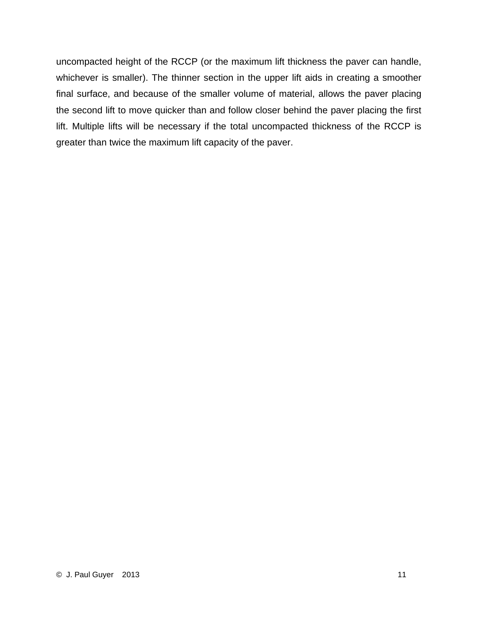uncompacted height of the RCCP (or the maximum lift thickness the paver can handle, whichever is smaller). The thinner section in the upper lift aids in creating a smoother final surface, and because of the smaller volume of material, allows the paver placing the second lift to move quicker than and follow closer behind the paver placing the first lift. Multiple lifts will be necessary if the total uncompacted thickness of the RCCP is greater than twice the maximum lift capacity of the paver.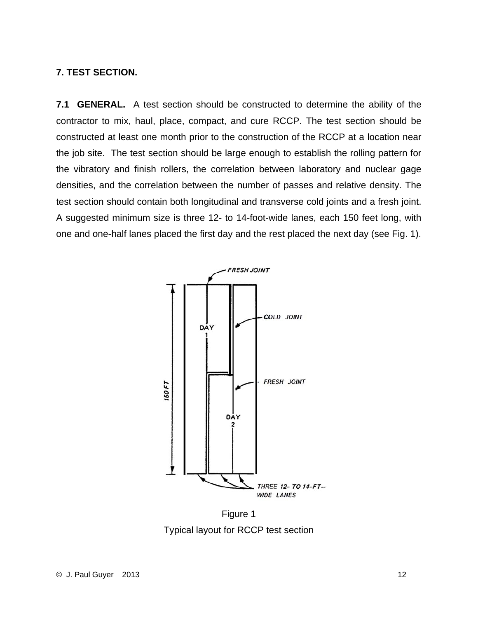### **7. TEST SECTION.**

**7.1 GENERAL.** A test section should be constructed to determine the ability of the contractor to mix, haul, place, compact, and cure RCCP. The test section should be constructed at least one month prior to the construction of the RCCP at a location near the job site. The test section should be large enough to establish the rolling pattern for the vibratory and finish rollers, the correlation between laboratory and nuclear gage densities, and the correlation between the number of passes and relative density. The test section should contain both longitudinal and transverse cold joints and a fresh joint. A suggested minimum size is three 12- to 14-foot-wide lanes, each 150 feet long, with one and one-half lanes placed the first day and the rest placed the next day (see Fig. 1).



Figure 1 Typical layout for RCCP test section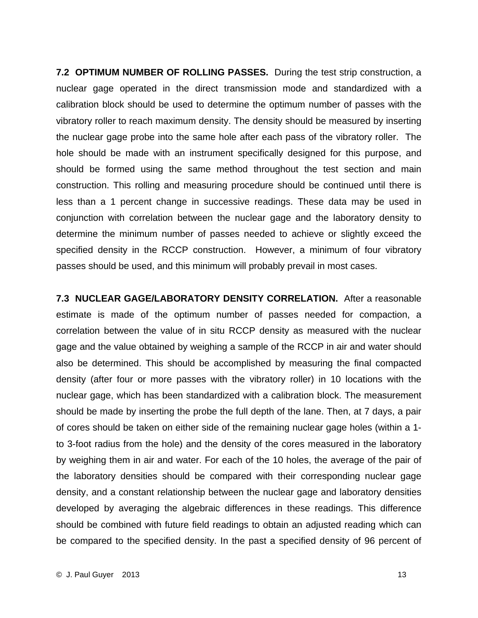**7.2 OPTIMUM NUMBER OF ROLLING PASSES.** During the test strip construction, a nuclear gage operated in the direct transmission mode and standardized with a calibration block should be used to determine the optimum number of passes with the vibratory roller to reach maximum density. The density should be measured by inserting the nuclear gage probe into the same hole after each pass of the vibratory roller. The hole should be made with an instrument specifically designed for this purpose, and should be formed using the same method throughout the test section and main construction. This rolling and measuring procedure should be continued until there is less than a 1 percent change in successive readings. These data may be used in conjunction with correlation between the nuclear gage and the laboratory density to determine the minimum number of passes needed to achieve or slightly exceed the specified density in the RCCP construction. However, a minimum of four vibratory passes should be used, and this minimum will probably prevail in most cases.

**7.3 NUCLEAR GAGE/LABORATORY DENSITY CORRELATION.** After a reasonable estimate is made of the optimum number of passes needed for compaction, a correlation between the value of in situ RCCP density as measured with the nuclear gage and the value obtained by weighing a sample of the RCCP in air and water should also be determined. This should be accomplished by measuring the final compacted density (after four or more passes with the vibratory roller) in 10 locations with the nuclear gage, which has been standardized with a calibration block. The measurement should be made by inserting the probe the full depth of the lane. Then, at 7 days, a pair of cores should be taken on either side of the remaining nuclear gage holes (within a 1 to 3-foot radius from the hole) and the density of the cores measured in the laboratory by weighing them in air and water. For each of the 10 holes, the average of the pair of the laboratory densities should be compared with their corresponding nuclear gage density, and a constant relationship between the nuclear gage and laboratory densities developed by averaging the algebraic differences in these readings. This difference should be combined with future field readings to obtain an adjusted reading which can be compared to the specified density. In the past a specified density of 96 percent of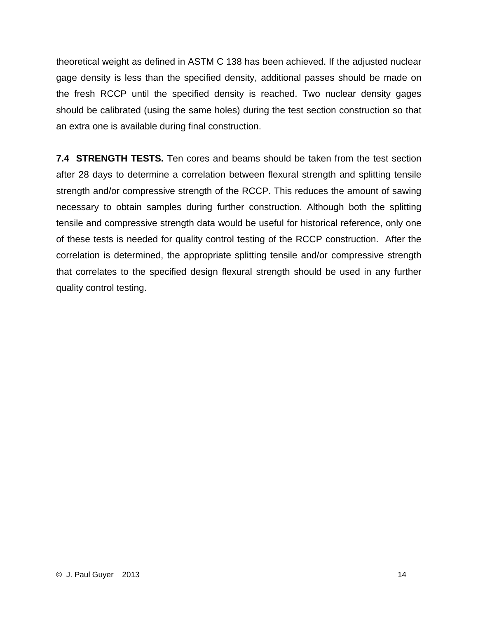theoretical weight as defined in ASTM C 138 has been achieved. If the adjusted nuclear gage density is less than the specified density, additional passes should be made on the fresh RCCP until the specified density is reached. Two nuclear density gages should be calibrated (using the same holes) during the test section construction so that an extra one is available during final construction.

**7.4 STRENGTH TESTS.** Ten cores and beams should be taken from the test section after 28 days to determine a correlation between flexural strength and splitting tensile strength and/or compressive strength of the RCCP. This reduces the amount of sawing necessary to obtain samples during further construction. Although both the splitting tensile and compressive strength data would be useful for historical reference, only one of these tests is needed for quality control testing of the RCCP construction. After the correlation is determined, the appropriate splitting tensile and/or compressive strength that correlates to the specified design flexural strength should be used in any further quality control testing.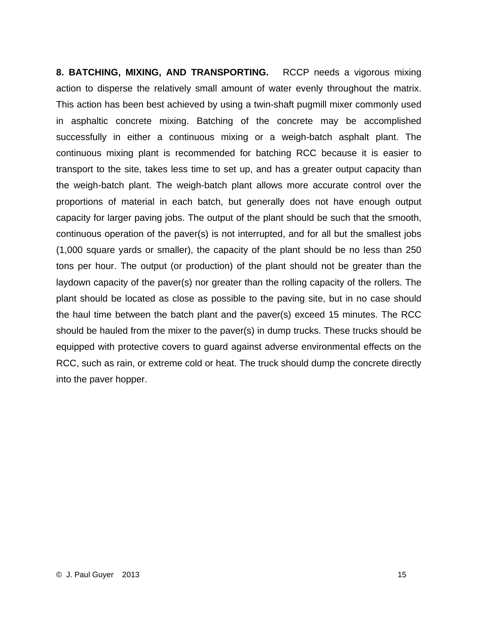**8. BATCHING, MIXING, AND TRANSPORTING.** RCCP needs a vigorous mixing action to disperse the relatively small amount of water evenly throughout the matrix. This action has been best achieved by using a twin-shaft pugmill mixer commonly used in asphaltic concrete mixing. Batching of the concrete may be accomplished successfully in either a continuous mixing or a weigh-batch asphalt plant. The continuous mixing plant is recommended for batching RCC because it is easier to transport to the site, takes less time to set up, and has a greater output capacity than the weigh-batch plant. The weigh-batch plant allows more accurate control over the proportions of material in each batch, but generally does not have enough output capacity for larger paving jobs. The output of the plant should be such that the smooth, continuous operation of the paver(s) is not interrupted, and for all but the smallest jobs (1,000 square yards or smaller), the capacity of the plant should be no less than 250 tons per hour. The output (or production) of the plant should not be greater than the laydown capacity of the paver(s) nor greater than the rolling capacity of the rollers. The plant should be located as close as possible to the paving site, but in no case should the haul time between the batch plant and the paver(s) exceed 15 minutes. The RCC should be hauled from the mixer to the paver(s) in dump trucks. These trucks should be equipped with protective covers to guard against adverse environmental effects on the RCC, such as rain, or extreme cold or heat. The truck should dump the concrete directly into the paver hopper.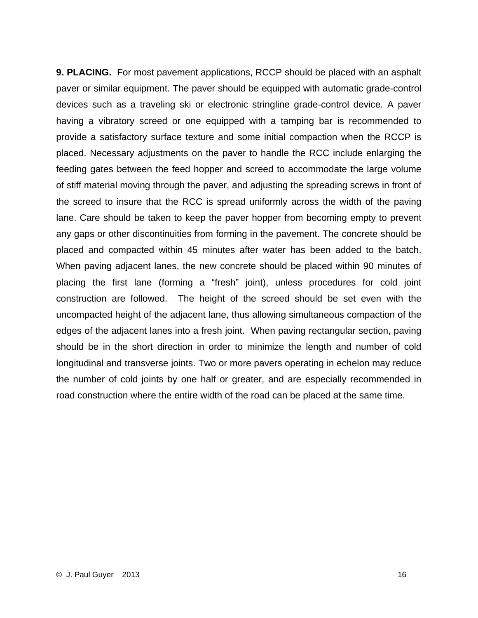**9. PLACING.** For most pavement applications, RCCP should be placed with an asphalt paver or similar equipment. The paver should be equipped with automatic grade-control devices such as a traveling ski or electronic stringline grade-control device. A paver having a vibratory screed or one equipped with a tamping bar is recommended to provide a satisfactory surface texture and some initial compaction when the RCCP is placed. Necessary adjustments on the paver to handle the RCC include enlarging the feeding gates between the feed hopper and screed to accommodate the large volume of stiff material moving through the paver, and adjusting the spreading screws in front of the screed to insure that the RCC is spread uniformly across the width of the paving lane. Care should be taken to keep the paver hopper from becoming empty to prevent any gaps or other discontinuities from forming in the pavement. The concrete should be placed and compacted within 45 minutes after water has been added to the batch. When paving adjacent lanes, the new concrete should be placed within 90 minutes of placing the first lane (forming a "fresh" joint), unless procedures for cold joint construction are followed. The height of the screed should be set even with the uncompacted height of the adjacent lane, thus allowing simultaneous compaction of the edges of the adjacent lanes into a fresh joint. When paving rectangular section, paving should be in the short direction in order to minimize the length and number of cold longitudinal and transverse joints. Two or more pavers operating in echelon may reduce the number of cold joints by one half or greater, and are especially recommended in road construction where the entire width of the road can be placed at the same time.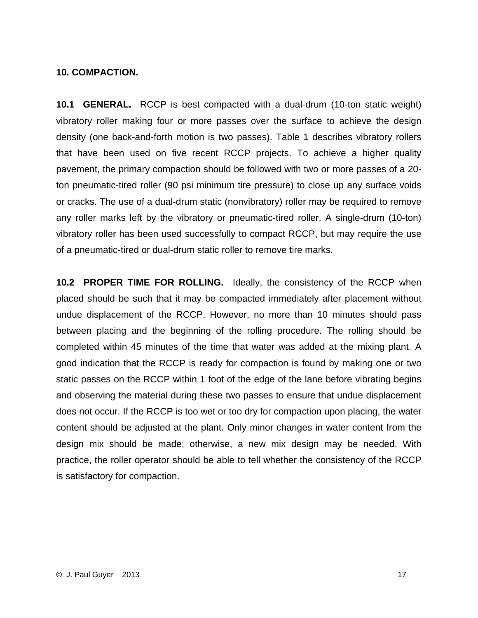#### **10. COMPACTION.**

**10.1 GENERAL.** RCCP is best compacted with a dual-drum (10-ton static weight) vibratory roller making four or more passes over the surface to achieve the design density (one back-and-forth motion is two passes). Table 1 describes vibratory rollers that have been used on five recent RCCP projects. To achieve a higher quality pavement, the primary compaction should be followed with two or more passes of a 20 ton pneumatic-tired roller (90 psi minimum tire pressure) to close up any surface voids or cracks. The use of a dual-drum static (nonvibratory) roller may be required to remove any roller marks left by the vibratory or pneumatic-tired roller. A single-drum (10-ton) vibratory roller has been used successfully to compact RCCP, but may require the use of a pneumatic-tired or dual-drum static roller to remove tire marks.

**10.2 PROPER TIME FOR ROLLING.** Ideally, the consistency of the RCCP when placed should be such that it may be compacted immediately after placement without undue displacement of the RCCP. However, no more than 10 minutes should pass between placing and the beginning of the rolling procedure. The rolling should be completed within 45 minutes of the time that water was added at the mixing plant. A good indication that the RCCP is ready for compaction is found by making one or two static passes on the RCCP within 1 foot of the edge of the lane before vibrating begins and observing the material during these two passes to ensure that undue displacement does not occur. If the RCCP is too wet or too dry for compaction upon placing, the water content should be adjusted at the plant. Only minor changes in water content from the design mix should be made; otherwise, a new mix design may be needed. With practice, the roller operator should be able to tell whether the consistency of the RCCP is satisfactory for compaction.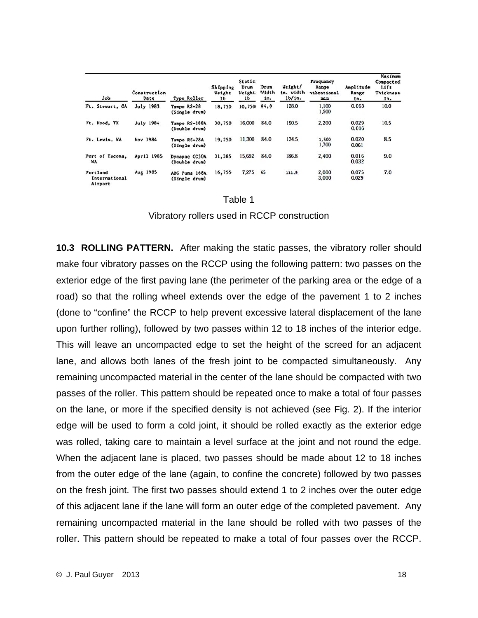| Job                                  | Construction<br>Date | Type Roller                    | Shipping<br>Weight<br>1b | Static<br>Drum<br>Weight<br>1 <sub>b</sub> | Drum<br>Width<br>In. | Weight/<br>in. width<br>1b/10. | Frequency<br>Range<br>vibrational<br>min | Amplitude<br>Range<br>in. | Maximum<br>Compacted<br>Life<br>Thickness<br>in. |
|--------------------------------------|----------------------|--------------------------------|--------------------------|--------------------------------------------|----------------------|--------------------------------|------------------------------------------|---------------------------|--------------------------------------------------|
| Ft. Stewart, CA                      | <b>July 1983</b>     | Tanpo RS-28<br>(Single drum)   | 18,750                   | 10,750                                     | 84,0                 | 128.0                          | 1.100<br>1,500                           | 0.063                     | 10.0                                             |
| Ft. Hood, TX                         | July 1984            | Tanpo RS-188A<br>(Double drum) | 30,750                   | 16,000                                     | 84.0                 | 190.5                          | 2,200                                    | 0.029<br>0.016            | 10.5                                             |
| Ft. Lewis. WA                        | Nov 1984             | Tanpo RS-28A<br>(Single drum)  | 19,250                   | 11,300                                     | 84.0                 | 134.5                          | 1.500<br>1,700                           | 0.020<br>0.061            | 8.5                                              |
| Port of Tacoma,<br>WA                | April 1985           | Dynapac CC50A<br>(Double drum) | 31,385                   | 15,692                                     | 84.0                 | 186.8                          | 2,400                                    | 0.016<br>0.032            | 9.0                                              |
| Portland<br>International<br>Airport | Aug 1985             | ABG Puna 168A<br>(Single drum) | 16,755                   | 7,275                                      | 65                   | 111.9                          | 2,000<br>3,000                           | 0.075<br>0.029            | 7.0                                              |

| able |  |
|------|--|
|------|--|

Vibratory rollers used in RCCP construction

**10.3 ROLLING PATTERN.** After making the static passes, the vibratory roller should make four vibratory passes on the RCCP using the following pattern: two passes on the exterior edge of the first paving lane (the perimeter of the parking area or the edge of a road) so that the rolling wheel extends over the edge of the pavement 1 to 2 inches (done to "confine" the RCCP to help prevent excessive lateral displacement of the lane upon further rolling), followed by two passes within 12 to 18 inches of the interior edge. This will leave an uncompacted edge to set the height of the screed for an adjacent lane, and allows both lanes of the fresh joint to be compacted simultaneously. Any remaining uncompacted material in the center of the lane should be compacted with two passes of the roller. This pattern should be repeated once to make a total of four passes on the lane, or more if the specified density is not achieved (see Fig. 2). If the interior edge will be used to form a cold joint, it should be rolled exactly as the exterior edge was rolled, taking care to maintain a level surface at the joint and not round the edge. When the adjacent lane is placed, two passes should be made about 12 to 18 inches from the outer edge of the lane (again, to confine the concrete) followed by two passes on the fresh joint. The first two passes should extend 1 to 2 inches over the outer edge of this adjacent lane if the lane will form an outer edge of the completed pavement. Any remaining uncompacted material in the lane should be rolled with two passes of the roller. This pattern should be repeated to make a total of four passes over the RCCP.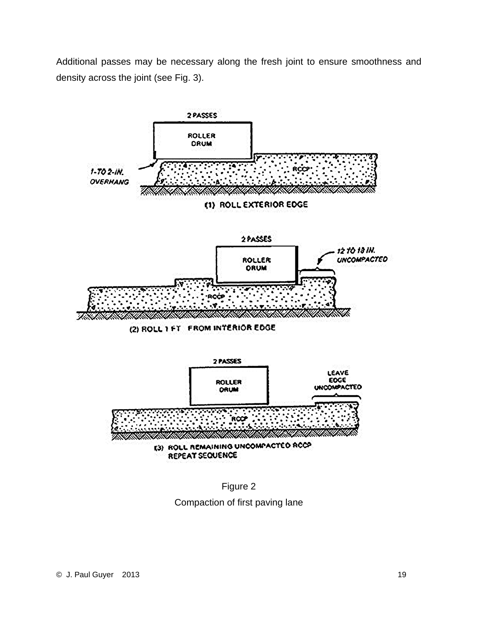Additional passes may be necessary along the fresh joint to ensure smoothness and density across the joint (see Fig. 3).



Figure 2 Compaction of first paving lane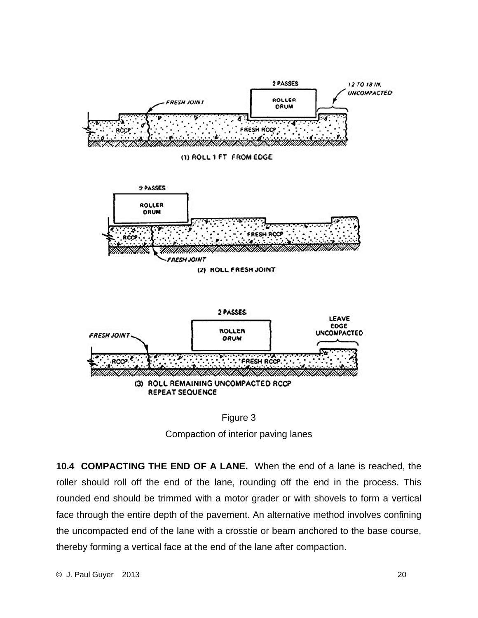



**10.4 COMPACTING THE END OF A LANE.** When the end of a lane is reached, the roller should roll off the end of the lane, rounding off the end in the process. This rounded end should be trimmed with a motor grader or with shovels to form a vertical face through the entire depth of the pavement. An alternative method involves confining the uncompacted end of the lane with a crosstie or beam anchored to the base course, thereby forming a vertical face at the end of the lane after compaction.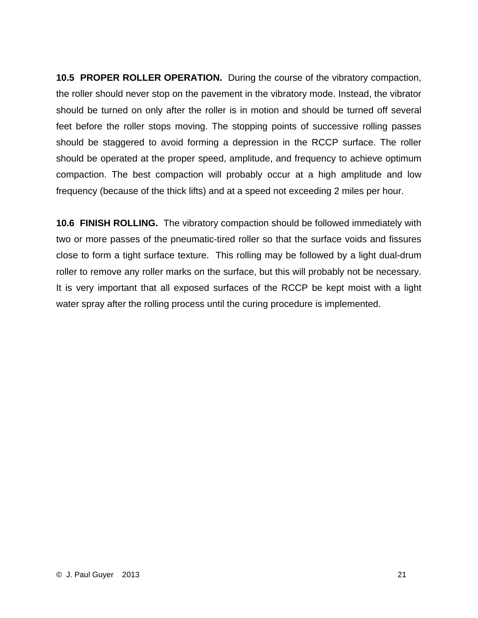**10.5 PROPER ROLLER OPERATION.** During the course of the vibratory compaction, the roller should never stop on the pavement in the vibratory mode. Instead, the vibrator should be turned on only after the roller is in motion and should be turned off several feet before the roller stops moving. The stopping points of successive rolling passes should be staggered to avoid forming a depression in the RCCP surface. The roller should be operated at the proper speed, amplitude, and frequency to achieve optimum compaction. The best compaction will probably occur at a high amplitude and low frequency (because of the thick lifts) and at a speed not exceeding 2 miles per hour.

**10.6 FINISH ROLLING.** The vibratory compaction should be followed immediately with two or more passes of the pneumatic-tired roller so that the surface voids and fissures close to form a tight surface texture. This rolling may be followed by a light dual-drum roller to remove any roller marks on the surface, but this will probably not be necessary. It is very important that all exposed surfaces of the RCCP be kept moist with a light water spray after the rolling process until the curing procedure is implemented.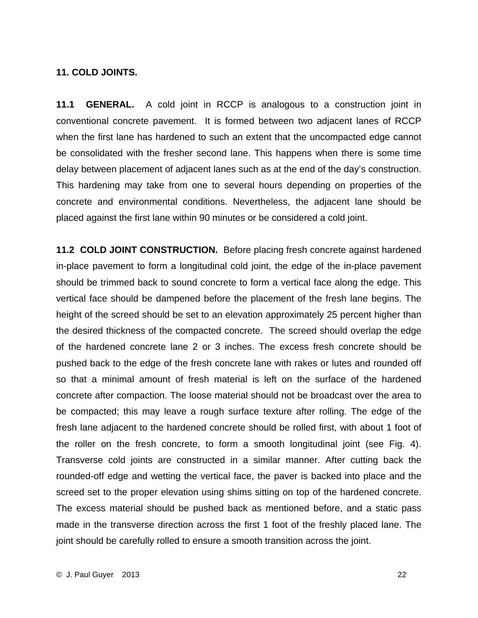#### **11. COLD JOINTS.**

**11.1 GENERAL.** A cold joint in RCCP is analogous to a construction joint in conventional concrete pavement. It is formed between two adjacent lanes of RCCP when the first lane has hardened to such an extent that the uncompacted edge cannot be consolidated with the fresher second lane. This happens when there is some time delay between placement of adjacent lanes such as at the end of the day's construction. This hardening may take from one to several hours depending on properties of the concrete and environmental conditions. Nevertheless, the adjacent lane should be placed against the first lane within 90 minutes or be considered a cold joint.

**11.2 COLD JOINT CONSTRUCTION.** Before placing fresh concrete against hardened in-place pavement to form a longitudinal cold joint, the edge of the in-place pavement should be trimmed back to sound concrete to form a vertical face along the edge. This vertical face should be dampened before the placement of the fresh lane begins. The height of the screed should be set to an elevation approximately 25 percent higher than the desired thickness of the compacted concrete. The screed should overlap the edge of the hardened concrete lane 2 or 3 inches. The excess fresh concrete should be pushed back to the edge of the fresh concrete lane with rakes or lutes and rounded off so that a minimal amount of fresh material is left on the surface of the hardened concrete after compaction. The loose material should not be broadcast over the area to be compacted; this may leave a rough surface texture after rolling. The edge of the fresh lane adjacent to the hardened concrete should be rolled first, with about 1 foot of the roller on the fresh concrete, to form a smooth longitudinal joint (see Fig. 4). Transverse cold joints are constructed in a similar manner. After cutting back the rounded-off edge and wetting the vertical face, the paver is backed into place and the screed set to the proper elevation using shims sitting on top of the hardened concrete. The excess material should be pushed back as mentioned before, and a static pass made in the transverse direction across the first 1 foot of the freshly placed lane. The joint should be carefully rolled to ensure a smooth transition across the joint.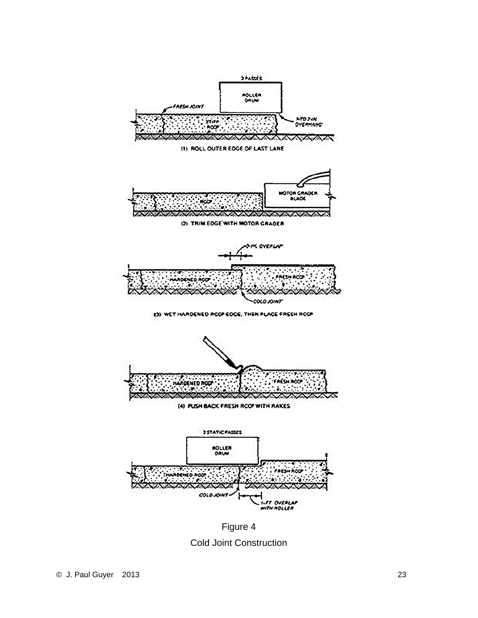

Figure 4 Cold Joint Construction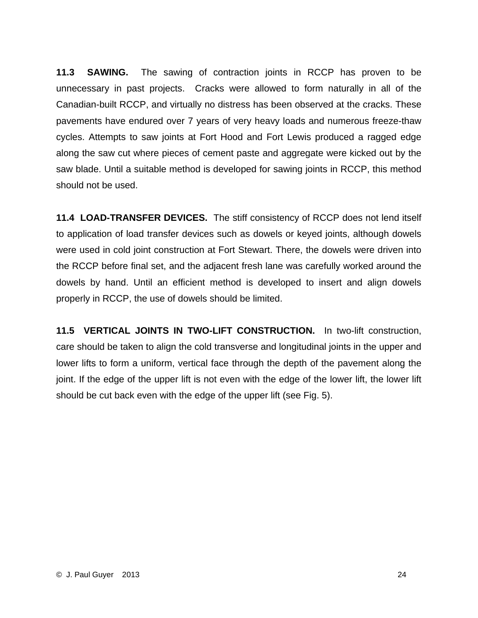**11.3 SAWING.** The sawing of contraction joints in RCCP has proven to be unnecessary in past projects. Cracks were allowed to form naturally in all of the Canadian-built RCCP, and virtually no distress has been observed at the cracks. These pavements have endured over 7 years of very heavy loads and numerous freeze-thaw cycles. Attempts to saw joints at Fort Hood and Fort Lewis produced a ragged edge along the saw cut where pieces of cement paste and aggregate were kicked out by the saw blade. Until a suitable method is developed for sawing joints in RCCP, this method should not be used.

**11.4 LOAD-TRANSFER DEVICES.** The stiff consistency of RCCP does not lend itself to application of load transfer devices such as dowels or keyed joints, although dowels were used in cold joint construction at Fort Stewart. There, the dowels were driven into the RCCP before final set, and the adjacent fresh lane was carefully worked around the dowels by hand. Until an efficient method is developed to insert and align dowels properly in RCCP, the use of dowels should be limited.

**11.5 VERTICAL JOINTS IN TWO-LIFT CONSTRUCTION.** In two-lift construction, care should be taken to align the cold transverse and longitudinal joints in the upper and lower lifts to form a uniform, vertical face through the depth of the pavement along the joint. If the edge of the upper lift is not even with the edge of the lower lift, the lower lift should be cut back even with the edge of the upper lift (see Fig. 5).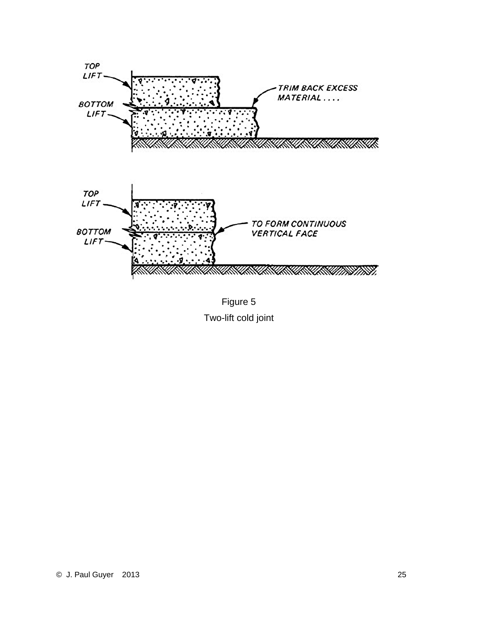

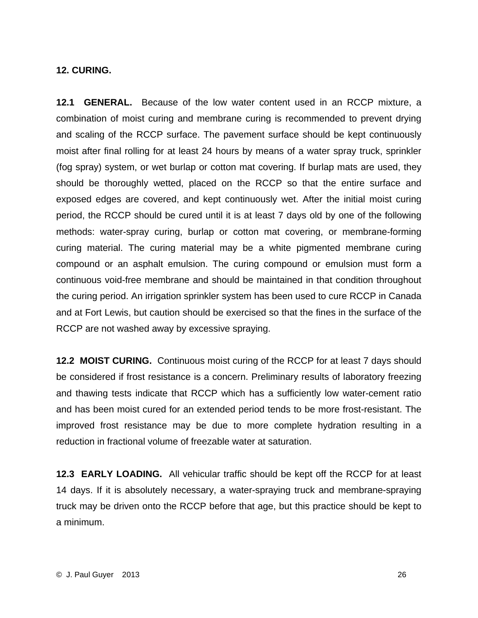#### **12. CURING.**

**12.1 GENERAL.** Because of the low water content used in an RCCP mixture, a combination of moist curing and membrane curing is recommended to prevent drying and scaling of the RCCP surface. The pavement surface should be kept continuously moist after final rolling for at least 24 hours by means of a water spray truck, sprinkler (fog spray) system, or wet burlap or cotton mat covering. If burlap mats are used, they should be thoroughly wetted, placed on the RCCP so that the entire surface and exposed edges are covered, and kept continuously wet. After the initial moist curing period, the RCCP should be cured until it is at least 7 days old by one of the following methods: water-spray curing, burlap or cotton mat covering, or membrane-forming curing material. The curing material may be a white pigmented membrane curing compound or an asphalt emulsion. The curing compound or emulsion must form a continuous void-free membrane and should be maintained in that condition throughout the curing period. An irrigation sprinkler system has been used to cure RCCP in Canada and at Fort Lewis, but caution should be exercised so that the fines in the surface of the RCCP are not washed away by excessive spraying.

**12.2 MOIST CURING.** Continuous moist curing of the RCCP for at least 7 days should be considered if frost resistance is a concern. Preliminary results of laboratory freezing and thawing tests indicate that RCCP which has a sufficiently low water-cement ratio and has been moist cured for an extended period tends to be more frost-resistant. The improved frost resistance may be due to more complete hydration resulting in a reduction in fractional volume of freezable water at saturation.

**12.3 EARLY LOADING.** All vehicular traffic should be kept off the RCCP for at least 14 days. If it is absolutely necessary, a water-spraying truck and membrane-spraying truck may be driven onto the RCCP before that age, but this practice should be kept to a minimum.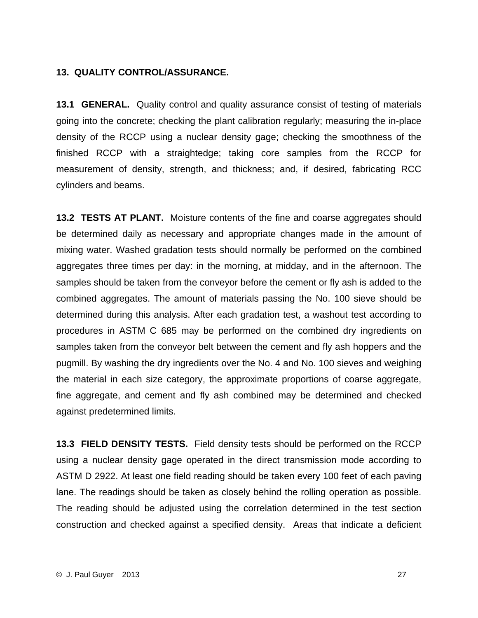## **13. QUALITY CONTROL/ASSURANCE.**

**13.1 GENERAL.** Quality control and quality assurance consist of testing of materials going into the concrete; checking the plant calibration regularly; measuring the in-place density of the RCCP using a nuclear density gage; checking the smoothness of the finished RCCP with a straightedge; taking core samples from the RCCP for measurement of density, strength, and thickness; and, if desired, fabricating RCC cylinders and beams.

**13.2 TESTS AT PLANT.** Moisture contents of the fine and coarse aggregates should be determined daily as necessary and appropriate changes made in the amount of mixing water. Washed gradation tests should normally be performed on the combined aggregates three times per day: in the morning, at midday, and in the afternoon. The samples should be taken from the conveyor before the cement or fly ash is added to the combined aggregates. The amount of materials passing the No. 100 sieve should be determined during this analysis. After each gradation test, a washout test according to procedures in ASTM C 685 may be performed on the combined dry ingredients on samples taken from the conveyor belt between the cement and fly ash hoppers and the pugmill. By washing the dry ingredients over the No. 4 and No. 100 sieves and weighing the material in each size category, the approximate proportions of coarse aggregate, fine aggregate, and cement and fly ash combined may be determined and checked against predetermined limits.

**13.3 FIELD DENSITY TESTS.** Field density tests should be performed on the RCCP using a nuclear density gage operated in the direct transmission mode according to ASTM D 2922. At least one field reading should be taken every 100 feet of each paving lane. The readings should be taken as closely behind the rolling operation as possible. The reading should be adjusted using the correlation determined in the test section construction and checked against a specified density. Areas that indicate a deficient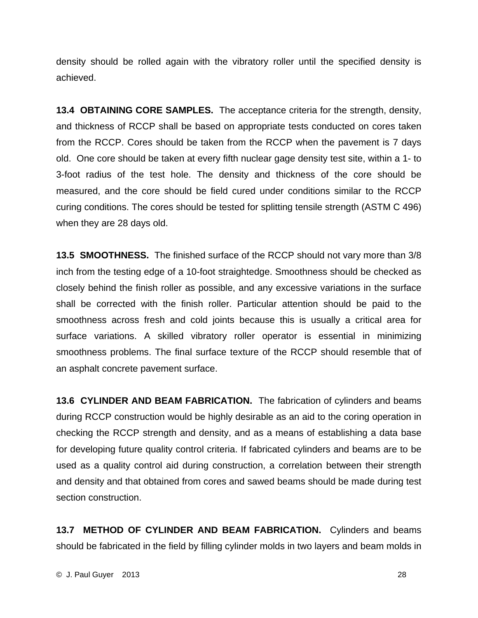density should be rolled again with the vibratory roller until the specified density is achieved.

**13.4 OBTAINING CORE SAMPLES.** The acceptance criteria for the strength, density, and thickness of RCCP shall be based on appropriate tests conducted on cores taken from the RCCP. Cores should be taken from the RCCP when the pavement is 7 days old. One core should be taken at every fifth nuclear gage density test site, within a 1- to 3-foot radius of the test hole. The density and thickness of the core should be measured, and the core should be field cured under conditions similar to the RCCP curing conditions. The cores should be tested for splitting tensile strength (ASTM C 496) when they are 28 days old.

**13.5 SMOOTHNESS.** The finished surface of the RCCP should not vary more than 3/8 inch from the testing edge of a 10-foot straightedge. Smoothness should be checked as closely behind the finish roller as possible, and any excessive variations in the surface shall be corrected with the finish roller. Particular attention should be paid to the smoothness across fresh and cold joints because this is usually a critical area for surface variations. A skilled vibratory roller operator is essential in minimizing smoothness problems. The final surface texture of the RCCP should resemble that of an asphalt concrete pavement surface.

**13.6 CYLINDER AND BEAM FABRICATION.** The fabrication of cylinders and beams during RCCP construction would be highly desirable as an aid to the coring operation in checking the RCCP strength and density, and as a means of establishing a data base for developing future quality control criteria. If fabricated cylinders and beams are to be used as a quality control aid during construction, a correlation between their strength and density and that obtained from cores and sawed beams should be made during test section construction.

**13.7 METHOD OF CYLINDER AND BEAM FABRICATION.** Cylinders and beams should be fabricated in the field by filling cylinder molds in two layers and beam molds in